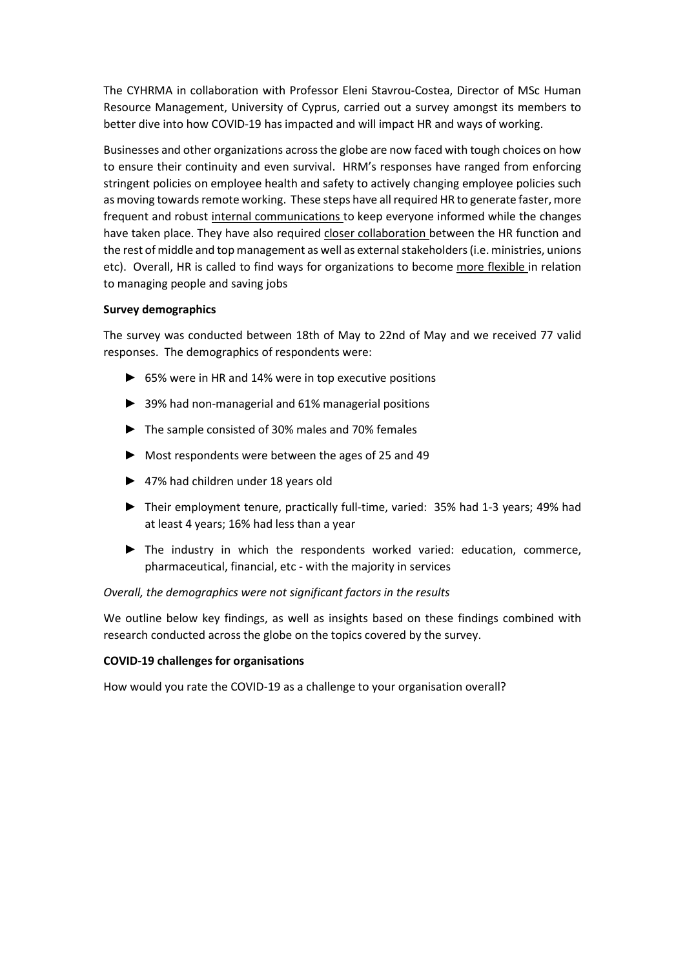The CYHRMA in collaboration with Professor Eleni Stavrou-Costea, Director of MSc Human Resource Management, University of Cyprus, carried out a survey amongst its members to better dive into how COVID-19 has impacted and will impact HR and ways of working.

Businesses and other organizations across the globe are now faced with tough choices on how to ensure their continuity and even survival. HRM's responses have ranged from enforcing stringent policies on employee health and safety to actively changing employee policies such as moving towards remote working. These steps have all required HR to generate faster, more frequent and robust internal communications to keep everyone informed while the changes have taken place. They have also required closer collaboration between the HR function and the rest of middle and top management as well as external stakeholders (i.e. ministries, unions etc). Overall, HR is called to find ways for organizations to become more flexible in relation to managing people and saving jobs

### Survey demographics

The survey was conducted between 18th of May to 22nd of May and we received 77 valid responses. The demographics of respondents were:

- ► 65% were in HR and 14% were in top executive positions
- ► 39% had non-managerial and 61% managerial positions
- ► The sample consisted of 30% males and 70% females
- ► Most respondents were between the ages of 25 and 49
- ► 47% had children under 18 years old
- ► Their employment tenure, practically full-time, varied: 35% had 1-3 years; 49% had at least 4 years; 16% had less than a year
- ► The industry in which the respondents worked varied: education, commerce, pharmaceutical, financial, etc - with the majority in services

# Overall, the demographics were not significant factors in the results

We outline below key findings, as well as insights based on these findings combined with research conducted across the globe on the topics covered by the survey.

# COVID-19 challenges for organisations

How would you rate the COVID-19 as a challenge to your organisation overall?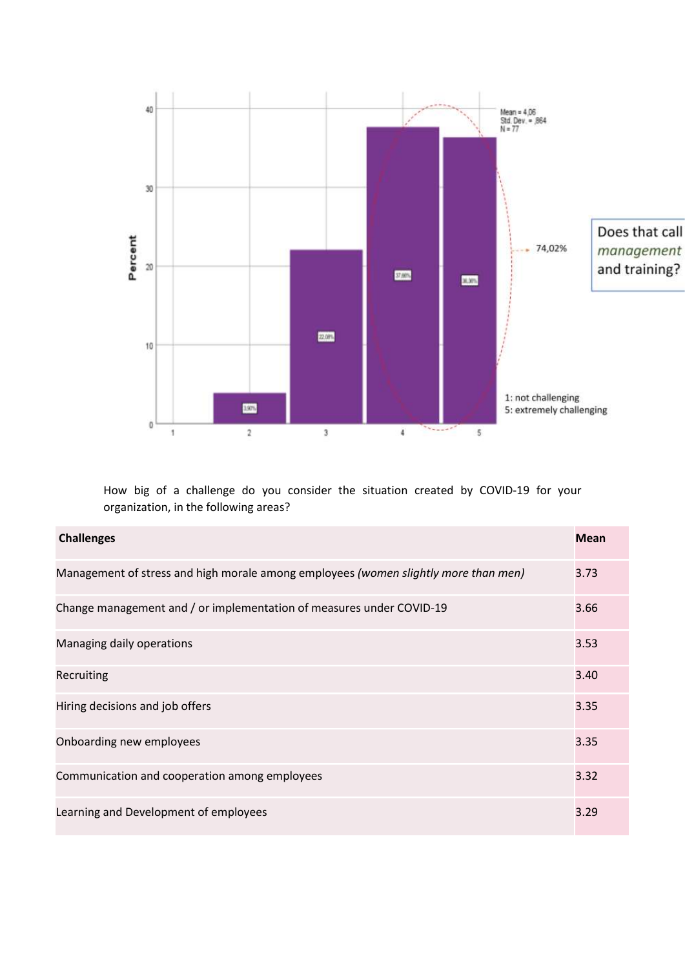

How big of a challenge do you consider the situation created by COVID-19 for your organization, in the following areas?

| <b>Challenges</b>                                                                   | <b>Mean</b> |
|-------------------------------------------------------------------------------------|-------------|
| Management of stress and high morale among employees (women slightly more than men) | 3.73        |
| Change management and / or implementation of measures under COVID-19                | 3.66        |
| Managing daily operations                                                           | 3.53        |
| Recruiting                                                                          | 3.40        |
| Hiring decisions and job offers                                                     | 3.35        |
| Onboarding new employees                                                            | 3.35        |
| Communication and cooperation among employees                                       | 3.32        |
| Learning and Development of employees                                               | 3.29        |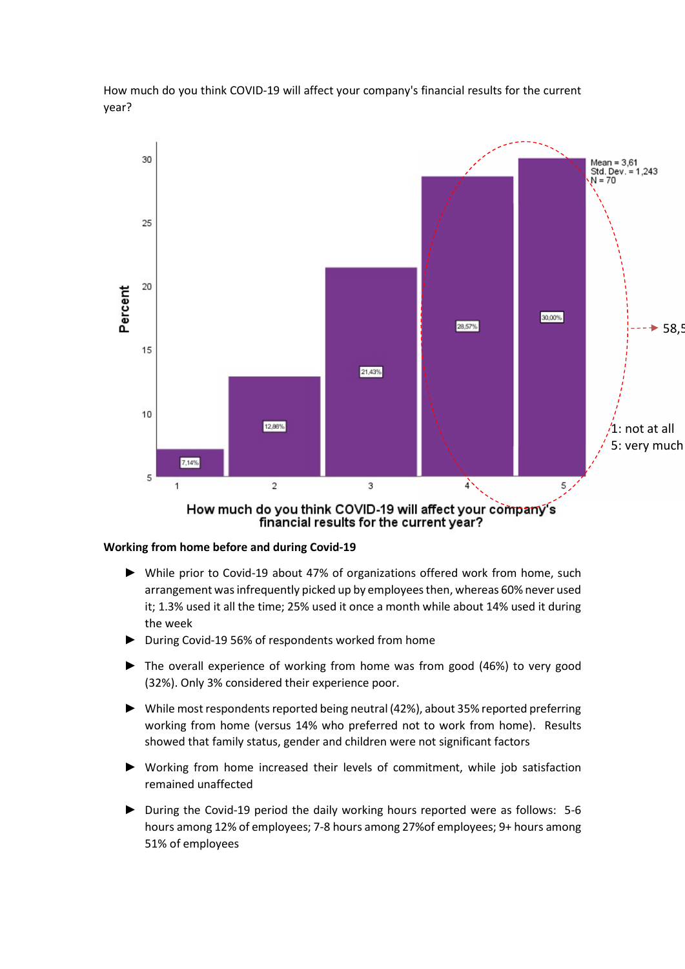How much do you think COVID-19 will affect your company's financial results for the current year?



financial results for the current year?

### Working from home before and during Covid-19

- ► While prior to Covid-19 about 47% of organizations offered work from home, such arrangement was infrequently picked up by employees then, whereas 60% never used it; 1.3% used it all the time; 25% used it once a month while about 14% used it during the week
- ► During Covid-19 56% of respondents worked from home
- ► The overall experience of working from home was from good (46%) to very good (32%). Only 3% considered their experience poor.
- ► While most respondents reported being neutral (42%), about 35% reported preferring working from home (versus 14% who preferred not to work from home). Results showed that family status, gender and children were not significant factors
- ► Working from home increased their levels of commitment, while job satisfaction remained unaffected
- ► During the Covid-19 period the daily working hours reported were as follows: 5-6 hours among 12% of employees; 7-8 hours among 27%of employees; 9+ hours among 51% of employees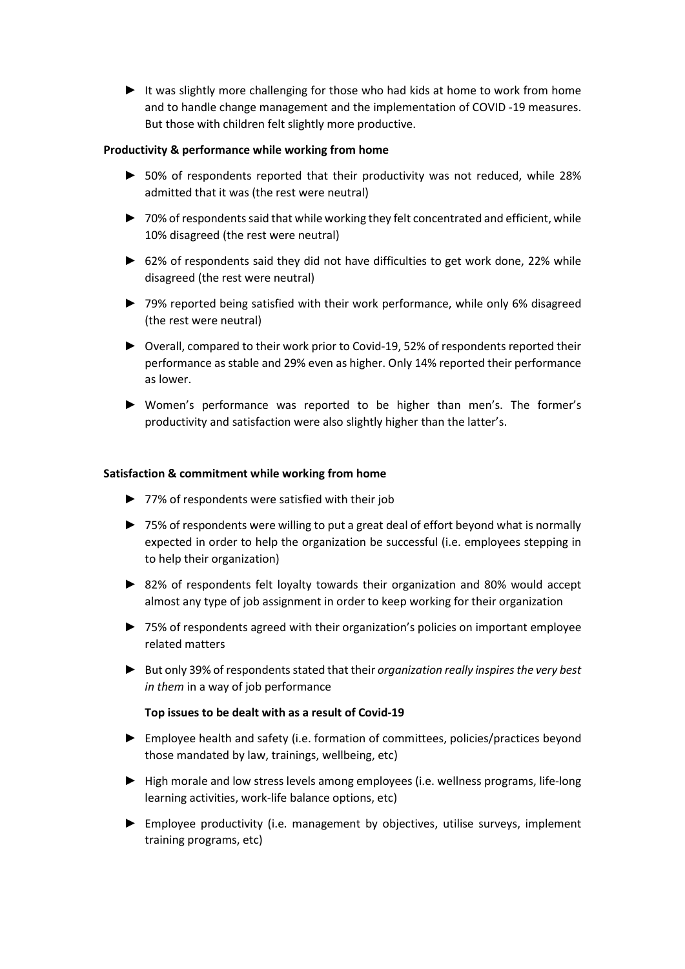► It was slightly more challenging for those who had kids at home to work from home and to handle change management and the implementation of COVID -19 measures. But those with children felt slightly more productive.

### Productivity & performance while working from home

- ► 50% of respondents reported that their productivity was not reduced, while 28% admitted that it was (the rest were neutral)
- ► 70% of respondents said that while working they felt concentrated and efficient, while 10% disagreed (the rest were neutral)
- ► 62% of respondents said they did not have difficulties to get work done, 22% while disagreed (the rest were neutral)
- ► 79% reported being satisfied with their work performance, while only 6% disagreed (the rest were neutral)
- ► Overall, compared to their work prior to Covid-19, 52% of respondents reported their performance as stable and 29% even as higher. Only 14% reported their performance as lower.
- ► Women's performance was reported to be higher than men's. The former's productivity and satisfaction were also slightly higher than the latter's.

#### Satisfaction & commitment while working from home

- ► 77% of respondents were satisfied with their job
- ► 75% of respondents were willing to put a great deal of effort beyond what is normally expected in order to help the organization be successful (i.e. employees stepping in to help their organization)
- ► 82% of respondents felt loyalty towards their organization and 80% would accept almost any type of job assignment in order to keep working for their organization
- ► 75% of respondents agreed with their organization's policies on important employee related matters
- ► But only 39% of respondents stated that their organization really inspires the very best in them in a way of job performance

# Top issues to be dealt with as a result of Covid-19

- ► Employee health and safety (i.e. formation of committees, policies/practices beyond those mandated by law, trainings, wellbeing, etc)
- ► High morale and low stress levels among employees (i.e. wellness programs, life-long learning activities, work-life balance options, etc)
- ► Employee productivity (i.e. management by objectives, utilise surveys, implement training programs, etc)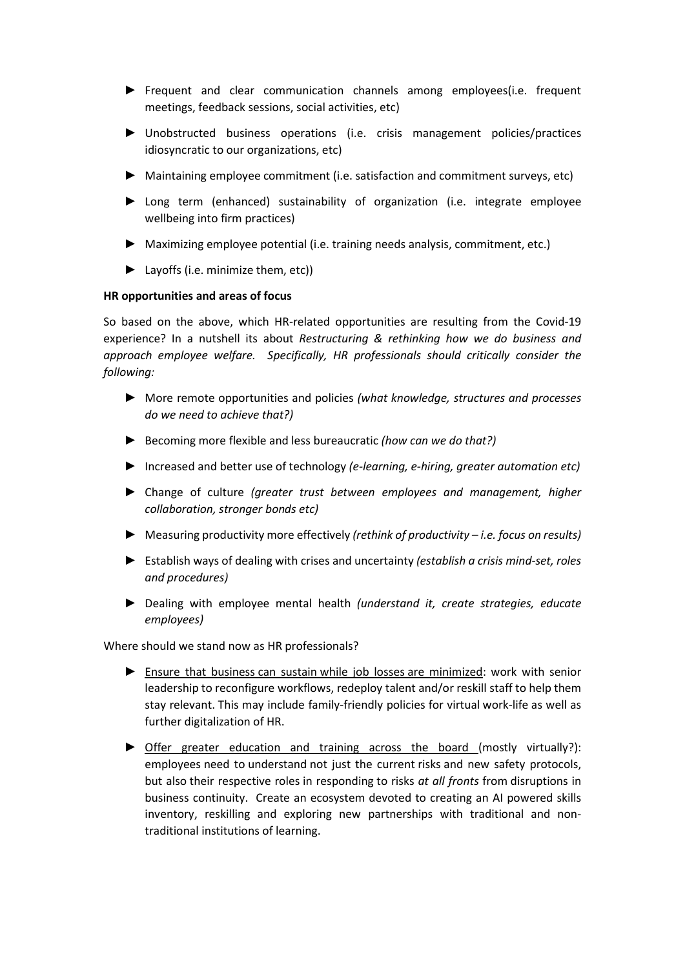- ► Frequent and clear communication channels among employees(i.e. frequent meetings, feedback sessions, social activities, etc)
- ► Unobstructed business operations (i.e. crisis management policies/practices idiosyncratic to our organizations, etc)
- ► Maintaining employee commitment (i.e. satisfaction and commitment surveys, etc)
- ► Long term (enhanced) sustainability of organization (i.e. integrate employee wellbeing into firm practices)
- ► Maximizing employee potential (i.e. training needs analysis, commitment, etc.)
- ► Layoffs (i.e. minimize them, etc))

#### HR opportunities and areas of focus

So based on the above, which HR-related opportunities are resulting from the Covid-19 experience? In a nutshell its about Restructuring & rethinking how we do business and approach employee welfare. Specifically, HR professionals should critically consider the following:

- ► More remote opportunities and policies (what knowledge, structures and processes do we need to achieve that?)
- ► Becoming more flexible and less bureaucratic (how can we do that?)
- ► Increased and better use of technology (e-learning, e-hiring, greater automation etc)
- ► Change of culture (greater trust between employees and management, higher collaboration, stronger bonds etc)
- ► Measuring productivity more effectively (rethink of productivity i.e. focus on results)
- ► Establish ways of dealing with crises and uncertainty (establish a crisis mind-set, roles and procedures)
- ► Dealing with employee mental health (understand it, create strategies, educate employees)

Where should we stand now as HR professionals?

- ► Ensure that business can sustain while job losses are minimized: work with senior leadership to reconfigure workflows, redeploy talent and/or reskill staff to help them stay relevant. This may include family-friendly policies for virtual work-life as well as further digitalization of HR.
- ► Offer greater education and training across the board (mostly virtually?): employees need to understand not just the current risks and new safety protocols, but also their respective roles in responding to risks at all fronts from disruptions in business continuity. Create an ecosystem devoted to creating an AI powered skills inventory, reskilling and exploring new partnerships with traditional and nontraditional institutions of learning.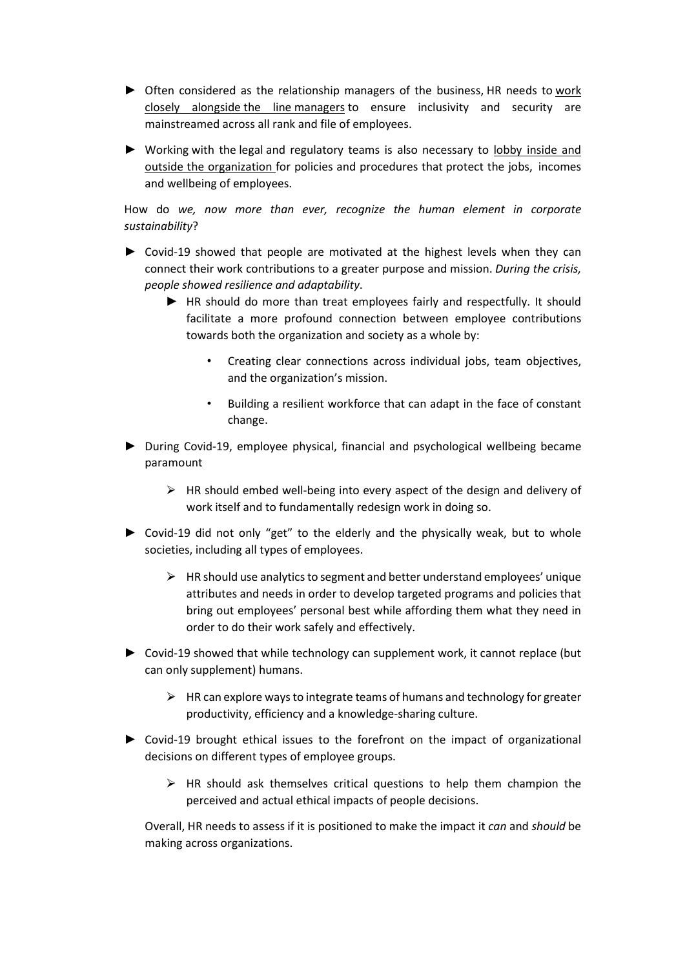- ► Often considered as the relationship managers of the business, HR needs to work closely alongside the line managers to ensure inclusivity and security are mainstreamed across all rank and file of employees.
- ► Working with the legal and regulatory teams is also necessary to lobby inside and outside the organization for policies and procedures that protect the jobs, incomes and wellbeing of employees.

How do we, now more than ever, recognize the human element in corporate sustainability?

- ► Covid-19 showed that people are motivated at the highest levels when they can connect their work contributions to a greater purpose and mission. During the crisis, people showed resilience and adaptability.
	- ► HR should do more than treat employees fairly and respectfully. It should facilitate a more profound connection between employee contributions towards both the organization and society as a whole by:
		- Creating clear connections across individual jobs, team objectives, and the organization's mission.
		- Building a resilient workforce that can adapt in the face of constant change.
- ► During Covid-19, employee physical, financial and psychological wellbeing became paramount
	- $\triangleright$  HR should embed well-being into every aspect of the design and delivery of work itself and to fundamentally redesign work in doing so.
- ► Covid-19 did not only "get" to the elderly and the physically weak, but to whole societies, including all types of employees.
	- $\triangleright$  HR should use analytics to segment and better understand employees' unique attributes and needs in order to develop targeted programs and policies that bring out employees' personal best while affording them what they need in order to do their work safely and effectively.
- ► Covid-19 showed that while technology can supplement work, it cannot replace (but can only supplement) humans.
	- $\triangleright$  HR can explore ways to integrate teams of humans and technology for greater productivity, efficiency and a knowledge-sharing culture.
- ► Covid-19 brought ethical issues to the forefront on the impact of organizational decisions on different types of employee groups.
	- $\triangleright$  HR should ask themselves critical questions to help them champion the perceived and actual ethical impacts of people decisions.

Overall, HR needs to assess if it is positioned to make the impact it can and should be making across organizations.